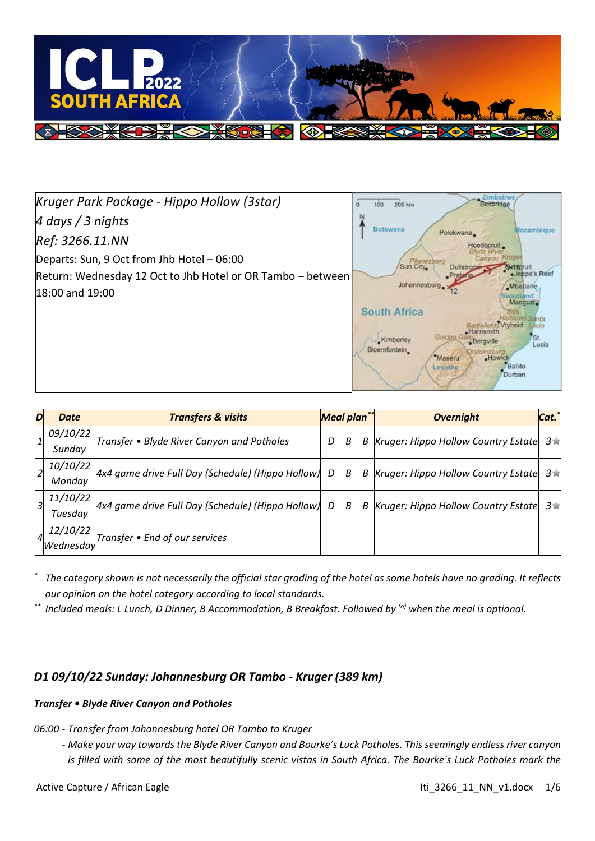

*Kruger Park Package - Hippo Hollow (3star) 4 days / 3 nights Ref: 3266.11.NN* Departs: Sun, 9 Oct from Jhb Hotel – 06:00 Return: Wednesday 12 Oct to Jhb Hotel or OR Tambo – between 18:00 and 19:00



| $\overline{\mathbf{D}}$ | <b>Date</b>     | <b>Transfers &amp; visits</b>                         | Meal plan** |   |   | Cat.*<br><b>Overnight</b>                |        |
|-------------------------|-----------------|-------------------------------------------------------|-------------|---|---|------------------------------------------|--------|
|                         | 09/10/22        | Transfer • Blyde River Canyon and Potholes            |             | В |   | B Kruger: Hippo Hollow Country Estate    | $3\pi$ |
|                         | Sunday          |                                                       |             |   |   |                                          |        |
|                         | <i>10/10/22</i> | $Ax4$ game drive Full Day (Schedule) (Hippo Hollow) D |             | B |   | B  Kruger: Hippo Hollow Country Estate 3 |        |
|                         | Monday          |                                                       |             |   |   |                                          |        |
|                         | 11/10/22        | $Ax4$ game drive Full Day (Schedule) (Hippo Hollow) D |             | B | B | Kruger: Hippo Hollow Country Estate      | $3\pi$ |
|                         | Tuesday         |                                                       |             |   |   |                                          |        |
|                         | 12/10/22        | Transfer • End of our services                        |             |   |   |                                          |        |
|                         | 'Wednesday      |                                                       |             |   |   |                                          |        |

*\* The category shown is not necessarily the official star grading of the hotel as some hotels have no grading. It reflects our opinion on the hotel category according to local standards.*

*\*\* Included meals: L Lunch, D Dinner, B Accommodation, B Breakfast. Followed by (o) when the meal is optional.*

# *D1 09/10/22 Sunday: Johannesburg OR Tambo - Kruger (389 km)*

#### *Transfer • Blyde River Canyon and Potholes*

*06:00 - Transfer from Johannesburg hotel OR Tambo to Kruger*

*- Make your way towards the Blyde River Canyon and Bourke's Luck Potholes. This seemingly endless river canyon is filled with some of the most beautifully scenic vistas in South Africa. The Bourke's Luck Potholes mark the*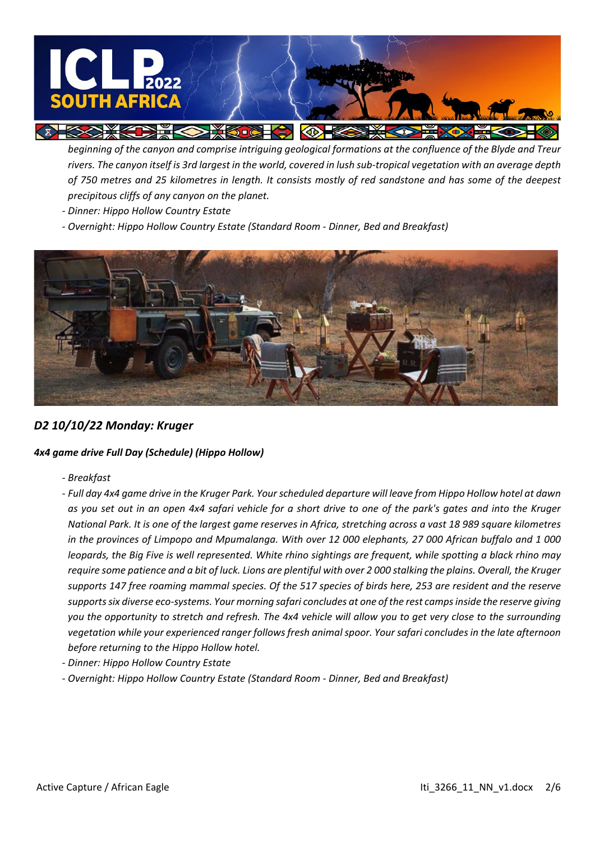

*beginning of the canyon and comprise intriguing geological formations at the confluence of the Blyde and Treur rivers. The canyon itself is 3rd largest in the world, covered in lush sub-tropical vegetation with an average depth of 750 metres and 25 kilometres in length. It consists mostly of red sandstone and has some of the deepest precipitous cliffs of any canyon on the planet.*

- *- Dinner: Hippo Hollow Country Estate*
- *- Overnight: Hippo Hollow Country Estate (Standard Room - Dinner, Bed and Breakfast)*



#### *D2 10/10/22 Monday: Kruger*

#### *4x4 game drive Full Day (Schedule) (Hippo Hollow)*

- *- Breakfast*
- *- Full day 4x4 game drive in the Kruger Park. Your scheduled departure will leave from Hippo Hollow hotel at dawn as you set out in an open 4x4 safari vehicle for a short drive to one of the park's gates and into the Kruger National Park. It is one of the largest game reserves in Africa, stretching across a vast 18 989 square kilometres in the provinces of Limpopo and Mpumalanga. With over 12 000 elephants, 27 000 African buffalo and 1 000 leopards, the Big Five is well represented. White rhino sightings are frequent, while spotting a black rhino may require some patience and a bit of luck. Lions are plentiful with over 2 000 stalking the plains. Overall, the Kruger supports 147 free roaming mammal species. Of the 517 species of birds here, 253 are resident and the reserve supports six diverse eco-systems. Your morning safari concludes at one of the rest camps inside the reserve giving you the opportunity to stretch and refresh. The 4x4 vehicle will allow you to get very close to the surrounding vegetation while your experienced ranger follows fresh animal spoor. Your safari concludes in the late afternoon before returning to the Hippo Hollow hotel.*
- *- Dinner: Hippo Hollow Country Estate*
- *- Overnight: Hippo Hollow Country Estate (Standard Room - Dinner, Bed and Breakfast)*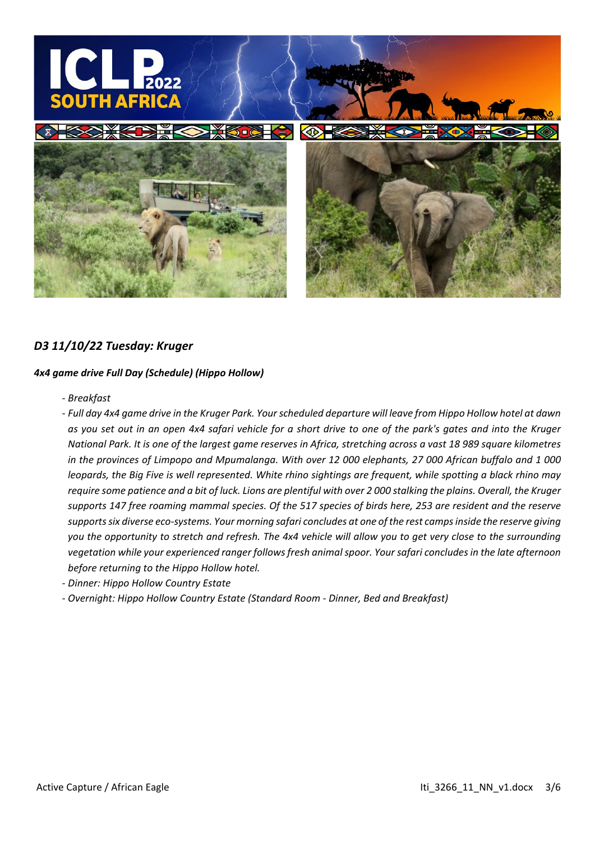

#### *D3 11/10/22 Tuesday: Kruger*

#### *4x4 game drive Full Day (Schedule) (Hippo Hollow)*

*- Breakfast*

*- Full day 4x4 game drive in the Kruger Park. Your scheduled departure will leave from Hippo Hollow hotel at dawn as you set out in an open 4x4 safari vehicle for a short drive to one of the park's gates and into the Kruger National Park. It is one of the largest game reserves in Africa, stretching across a vast 18 989 square kilometres in the provinces of Limpopo and Mpumalanga. With over 12 000 elephants, 27 000 African buffalo and 1 000 leopards, the Big Five is well represented. White rhino sightings are frequent, while spotting a black rhino may require some patience and a bit of luck. Lions are plentiful with over 2 000 stalking the plains. Overall, the Kruger supports 147 free roaming mammal species. Of the 517 species of birds here, 253 are resident and the reserve supports six diverse eco-systems. Your morning safari concludes at one of the rest camps inside the reserve giving you the opportunity to stretch and refresh. The 4x4 vehicle will allow you to get very close to the surrounding vegetation while your experienced ranger follows fresh animal spoor. Your safari concludes in the late afternoon before returning to the Hippo Hollow hotel.*

- *- Dinner: Hippo Hollow Country Estate*
- *- Overnight: Hippo Hollow Country Estate (Standard Room - Dinner, Bed and Breakfast)*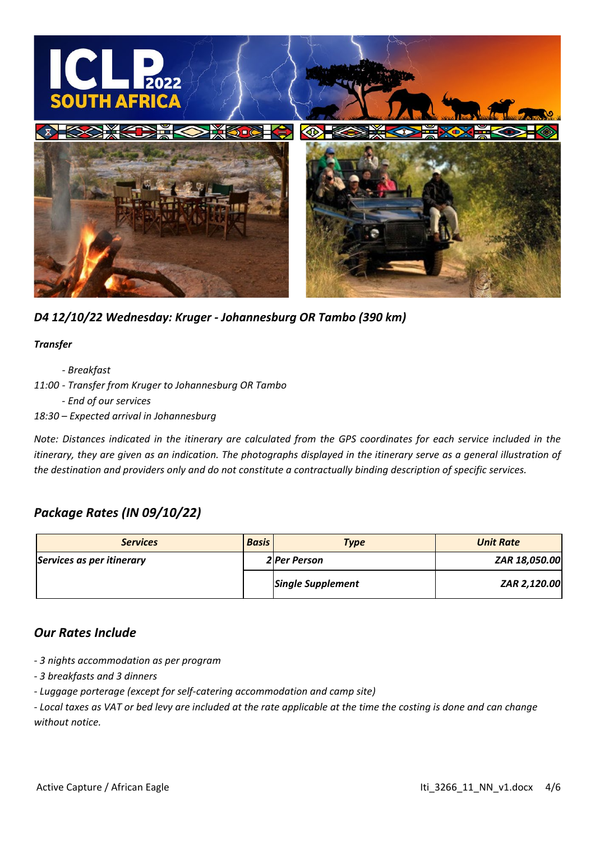

*D4 12/10/22 Wednesday: Kruger - Johannesburg OR Tambo (390 km)*

#### *Transfer*

*- Breakfast*

- *11:00 - Transfer from Kruger to Johannesburg OR Tambo*
	- *- End of our services*
- *18:30 – Expected arrival in Johannesburg*

*Note: Distances indicated in the itinerary are calculated from the GPS coordinates for each service included in the itinerary, they are given as an indication. The photographs displayed in the itinerary serve as a general illustration of the destination and providers only and do not constitute a contractually binding description of specific services.*

# *Package Rates (IN 09/10/22)*

| <b>Services</b>           | <b>Basis</b> | <b>Type</b>              | <b>Unit Rate</b> |  |
|---------------------------|--------------|--------------------------|------------------|--|
| Services as per itinerary |              | <b>2</b> Per Person      | ZAR 18,050.00    |  |
|                           |              | <b>Single Supplement</b> | ZAR 2,120.00     |  |

# *Our Rates Include*

- *- 3 nights accommodation as per program*
- *- 3 breakfasts and 3 dinners*
- *- Luggage porterage (except for self-catering accommodation and camp site)*

*- Local taxes as VAT or bed levy are included at the rate applicable at the time the costing is done and can change without notice.*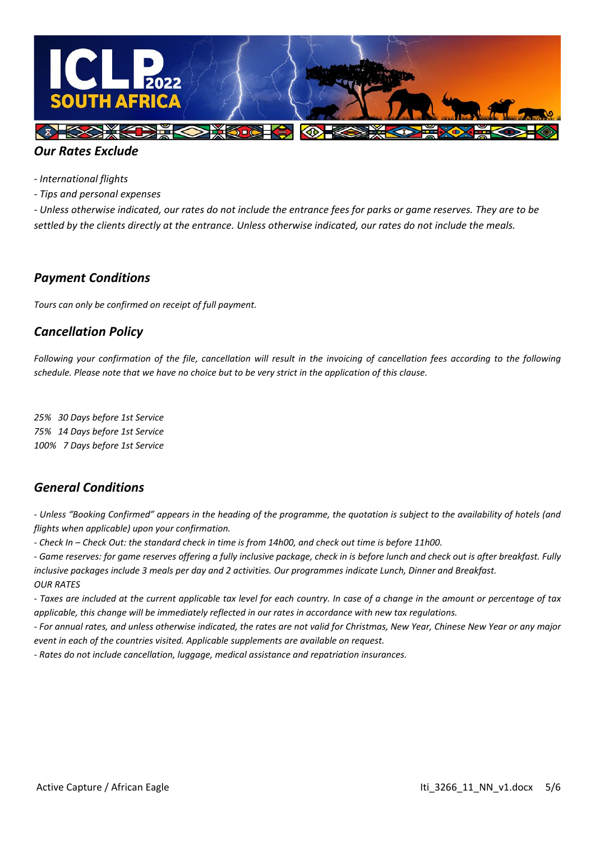

# *Our Rates Exclude*

*- International flights*

*- Tips and personal expenses*

*- Unless otherwise indicated, our rates do not include the entrance fees for parks or game reserves. They are to be settled by the clients directly at the entrance. Unless otherwise indicated, our rates do not include the meals.*

#### *Payment Conditions*

*Tours can only be confirmed on receipt of full payment.*

# *Cancellation Policy*

Following your confirmation of the file, cancellation will result in the invoicing of cancellation fees according to the following *schedule. Please note that we have no choice but to be very strict in the application of this clause.*

*25% 30 Days before 1st Service 75% 14 Days before 1st Service 100% 7 Days before 1st Service* 

# *General Conditions*

*- Unless "Booking Confirmed" appears in the heading of the programme, the quotation is subject to the availability of hotels (and flights when applicable) upon your confirmation.*

*- Check In – Check Out: the standard check in time is from 14h00, and check out time is before 11h00.* 

*- Game reserves: for game reserves offering a fully inclusive package, check in is before lunch and check out is after breakfast. Fully inclusive packages include 3 meals per day and 2 activities. Our programmes indicate Lunch, Dinner and Breakfast. OUR RATES*

*- Taxes are included at the current applicable tax level for each country. In case of a change in the amount or percentage of tax applicable, this change will be immediately reflected in our rates in accordance with new tax regulations.*

*- For annual rates, and unless otherwise indicated, the rates are not valid for Christmas, New Year, Chinese New Year or any major event in each of the countries visited. Applicable supplements are available on request.*

*- Rates do not include cancellation, luggage, medical assistance and repatriation insurances.*